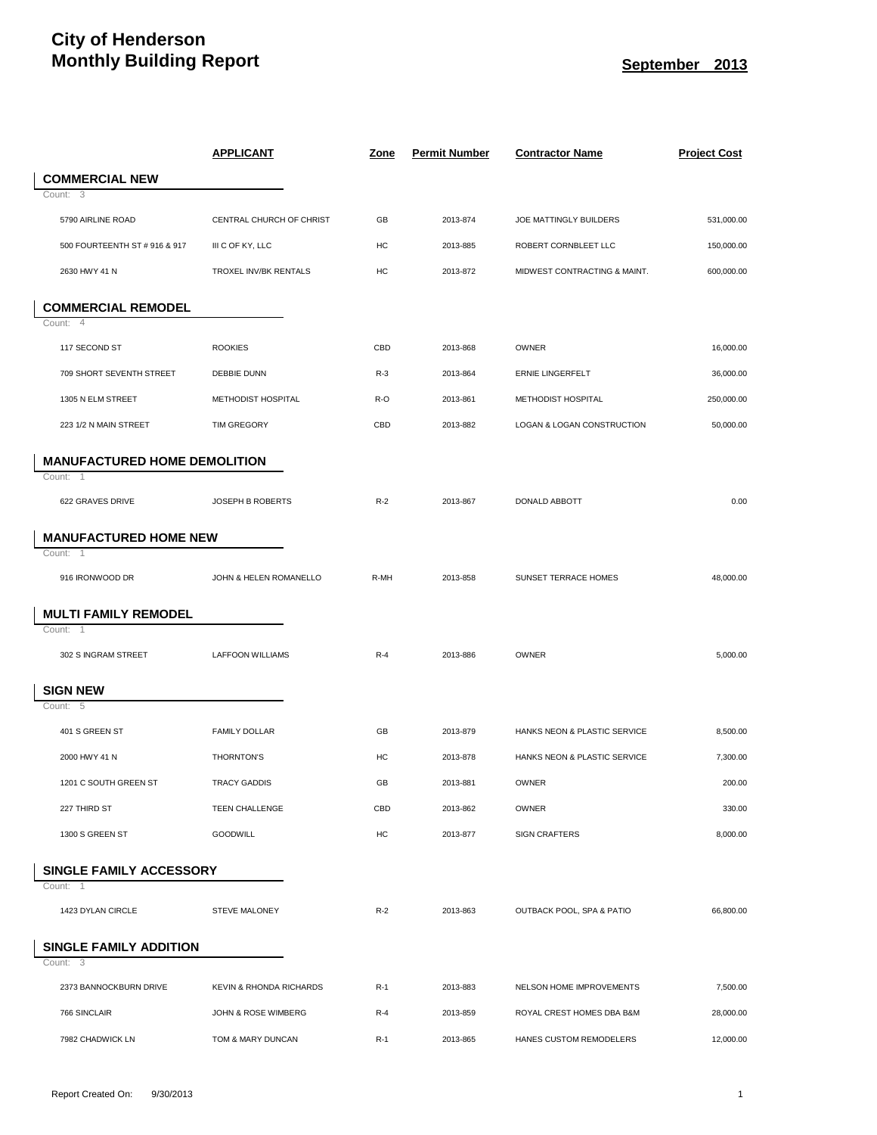## **City of Henderson Monthly Building Report September 2013**

|                                           | <u>APPLICANT</u>          | <u>Zone</u> | <b>Permit Number</b> | <b>Contractor Name</b>       | <u>Project Cost</u> |
|-------------------------------------------|---------------------------|-------------|----------------------|------------------------------|---------------------|
| <b>COMMERCIAL NEW</b>                     |                           |             |                      |                              |                     |
| Count:<br>3                               |                           |             |                      |                              |                     |
| 5790 AIRLINE ROAD                         | CENTRAL CHURCH OF CHRIST  | GB          | 2013-874             | JOE MATTINGLY BUILDERS       | 531,000.00          |
| 500 FOURTEENTH ST # 916 & 917             | III C OF KY, LLC          | HC          | 2013-885             | ROBERT CORNBLEET LLC         | 150,000.00          |
| 2630 HWY 41 N                             | TROXEL INV/BK RENTALS     | HC          | 2013-872             | MIDWEST CONTRACTING & MAINT. | 600,000.00          |
| <b>COMMERCIAL REMODEL</b>                 |                           |             |                      |                              |                     |
| $\overline{4}$<br>Count:                  |                           |             |                      |                              |                     |
| 117 SECOND ST                             | <b>ROOKIES</b>            | CBD         | 2013-868             | <b>OWNER</b>                 | 16,000.00           |
| 709 SHORT SEVENTH STREET                  | DEBBIE DUNN               | $R-3$       | 2013-864             | <b>ERNIE LINGERFELT</b>      | 36,000.00           |
| 1305 N ELM STREET                         | <b>METHODIST HOSPITAL</b> | R-O         | 2013-861             | <b>METHODIST HOSPITAL</b>    | 250,000.00          |
| 223 1/2 N MAIN STREET                     | <b>TIM GREGORY</b>        | CBD         | 2013-882             | LOGAN & LOGAN CONSTRUCTION   | 50,000.00           |
| <b>MANUFACTURED HOME DEMOLITION</b>       |                           |             |                      |                              |                     |
| Count:<br>-1                              |                           |             |                      |                              |                     |
| 622 GRAVES DRIVE                          | JOSEPH B ROBERTS          | $R-2$       | 2013-867             | DONALD ABBOTT                | 0.00                |
| <b>MANUFACTURED HOME NEW</b>              |                           |             |                      |                              |                     |
| Count:<br>$\overline{1}$                  |                           |             |                      |                              |                     |
| 916 IRONWOOD DR                           | JOHN & HELEN ROMANELLO    | R-MH        | 2013-858             | SUNSET TERRACE HOMES         | 48,000.00           |
| <b>MULTI FAMILY REMODEL</b>               |                           |             |                      |                              |                     |
| Count:<br>-1                              |                           |             |                      |                              |                     |
| 302 S INGRAM STREET                       | <b>LAFFOON WILLIAMS</b>   | $R-4$       | 2013-886             | <b>OWNER</b>                 | 5,000.00            |
| <b>SIGN NEW</b>                           |                           |             |                      |                              |                     |
| Count: 5                                  |                           |             |                      |                              |                     |
| 401 S GREEN ST                            | <b>FAMILY DOLLAR</b>      | GB          | 2013-879             | HANKS NEON & PLASTIC SERVICE | 8,500.00            |
| 2000 HWY 41 N                             | <b>THORNTON'S</b>         | HC          | 2013-878             | HANKS NEON & PLASTIC SERVICE | 7,300.00            |
| 1201 C SOUTH GREEN ST                     | <b>TRACY GADDIS</b>       | GB          | 2013-881             | OWNER                        | 200.00              |
| 227 THIRD ST                              | TEEN CHALLENGE            | CBD         | 2013-862             | OWNER                        | 330.00              |
| 1300 S GREEN ST                           | <b>GOODWILL</b>           | HC          | 2013-877             | <b>SIGN CRAFTERS</b>         | 8,000.00            |
| SINGLE FAMILY ACCESSORY                   |                           |             |                      |                              |                     |
| Count:<br>-1                              |                           |             |                      |                              |                     |
| 1423 DYLAN CIRCLE                         | <b>STEVE MALONEY</b>      | $R-2$       | 2013-863             | OUTBACK POOL, SPA & PATIO    | 66.800.00           |
| <b>SINGLE FAMILY ADDITION</b><br>Count: 3 |                           |             |                      |                              |                     |
| 2373 BANNOCKBURN DRIVE                    | KEVIN & RHONDA RICHARDS   | $R-1$       | 2013-883             | NELSON HOME IMPROVEMENTS     | 7,500.00            |
| 766 SINCLAIR                              | JOHN & ROSE WIMBERG       | $R-4$       | 2013-859             | ROYAL CREST HOMES DBA B&M    | 28,000.00           |
| 7982 CHADWICK LN                          | TOM & MARY DUNCAN         | $R-1$       | 2013-865             | HANES CUSTOM REMODELERS      | 12,000.00           |